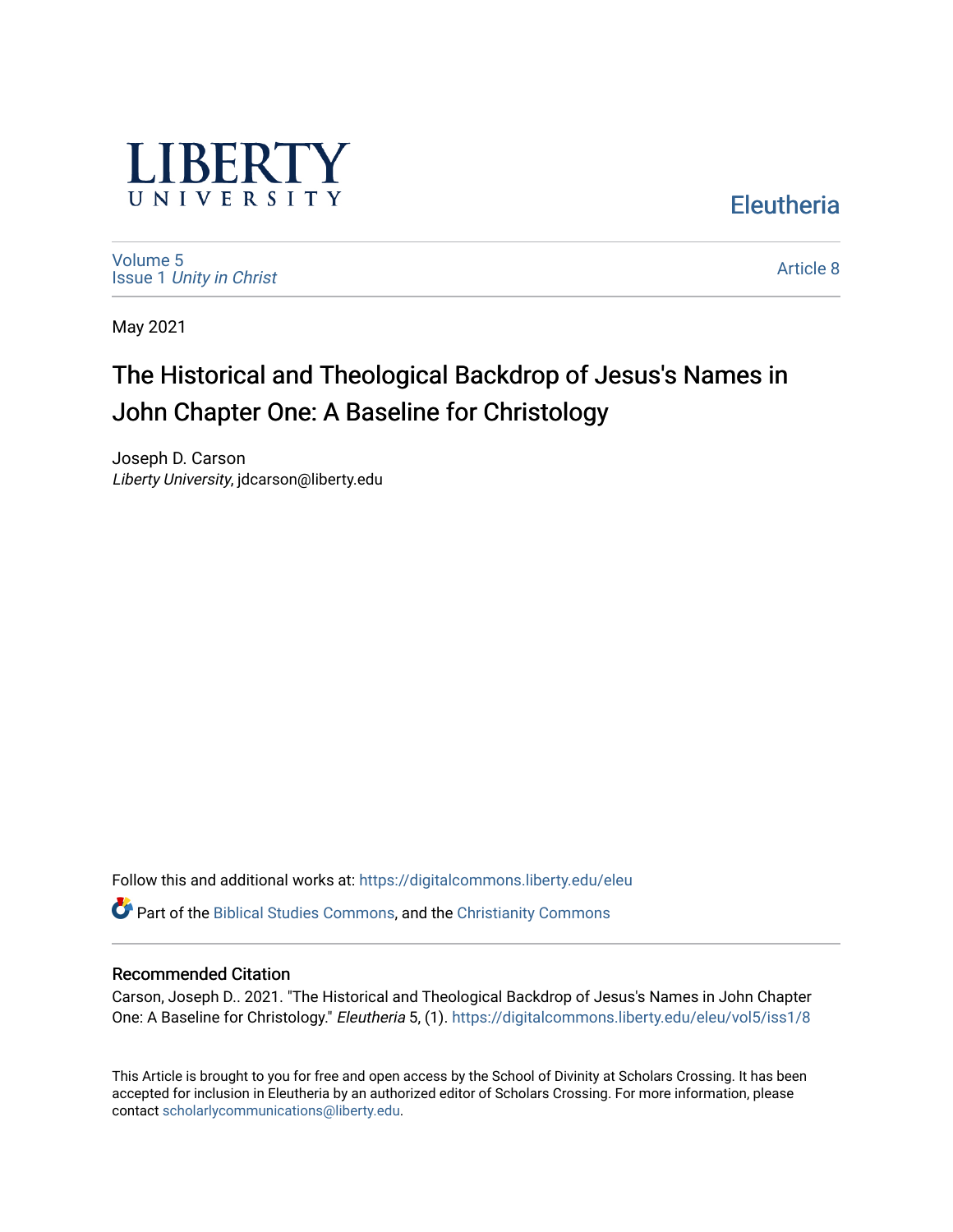

[Volume 5](https://digitalcommons.liberty.edu/eleu/vol5) Issue 1 [Unity in Christ](https://digitalcommons.liberty.edu/eleu/vol5/iss1)  [Article 8](https://digitalcommons.liberty.edu/eleu/vol5/iss1/8) 

**Eleutheria** 

May 2021

# The Historical and Theological Backdrop of Jesus's Names in John Chapter One: A Baseline for Christology

Joseph D. Carson Liberty University, jdcarson@liberty.edu

Follow this and additional works at: [https://digitalcommons.liberty.edu/eleu](https://digitalcommons.liberty.edu/eleu?utm_source=digitalcommons.liberty.edu%2Feleu%2Fvol5%2Fiss1%2F8&utm_medium=PDF&utm_campaign=PDFCoverPages) 

Part of the [Biblical Studies Commons,](http://network.bepress.com/hgg/discipline/539?utm_source=digitalcommons.liberty.edu%2Feleu%2Fvol5%2Fiss1%2F8&utm_medium=PDF&utm_campaign=PDFCoverPages) and the [Christianity Commons](http://network.bepress.com/hgg/discipline/1181?utm_source=digitalcommons.liberty.edu%2Feleu%2Fvol5%2Fiss1%2F8&utm_medium=PDF&utm_campaign=PDFCoverPages)

# Recommended Citation

Carson, Joseph D.. 2021. "The Historical and Theological Backdrop of Jesus's Names in John Chapter One: A Baseline for Christology." Eleutheria 5, (1). [https://digitalcommons.liberty.edu/eleu/vol5/iss1/8](https://digitalcommons.liberty.edu/eleu/vol5/iss1/8?utm_source=digitalcommons.liberty.edu%2Feleu%2Fvol5%2Fiss1%2F8&utm_medium=PDF&utm_campaign=PDFCoverPages)

This Article is brought to you for free and open access by the School of Divinity at Scholars Crossing. It has been accepted for inclusion in Eleutheria by an authorized editor of Scholars Crossing. For more information, please contact [scholarlycommunications@liberty.edu](mailto:scholarlycommunications@liberty.edu).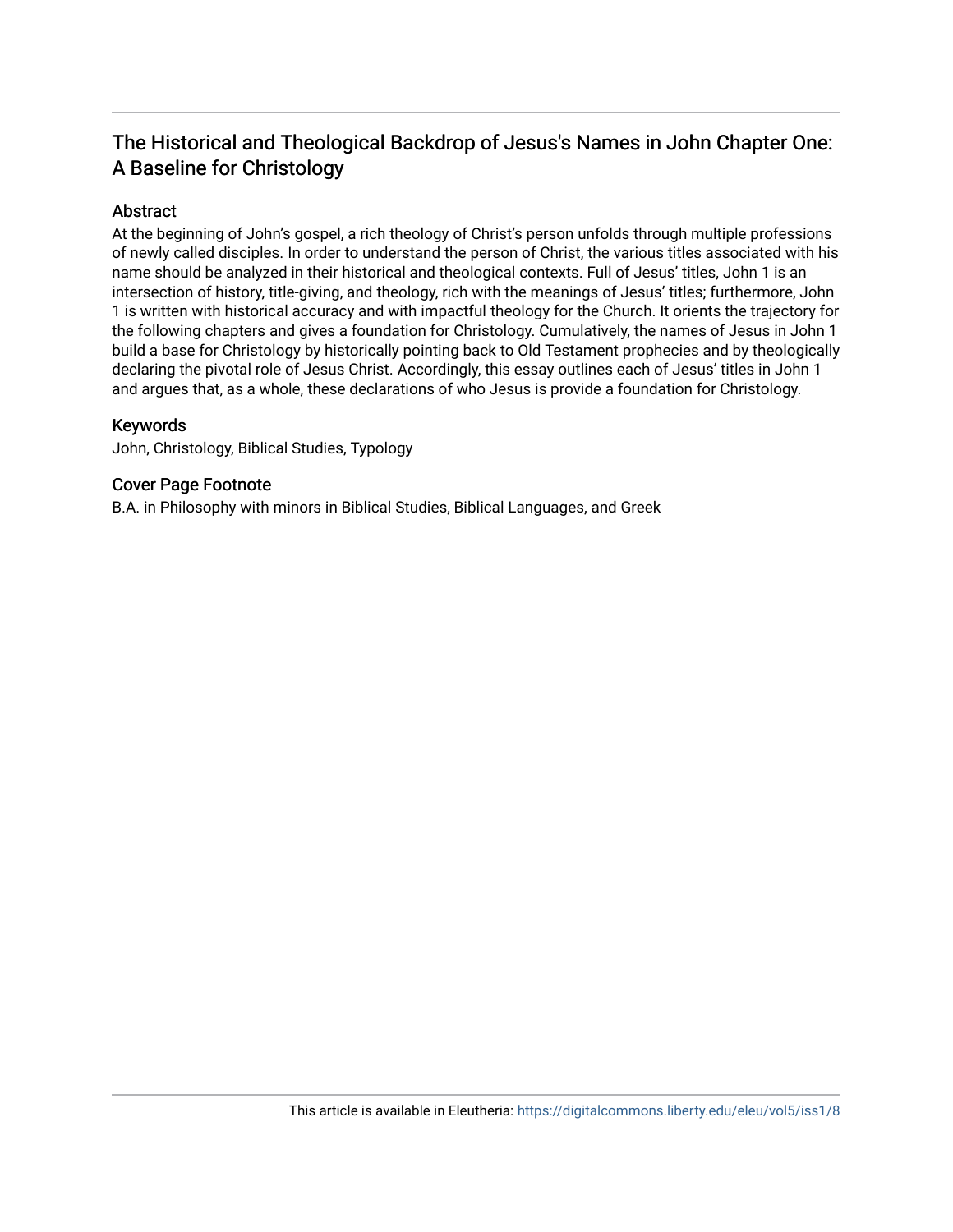# The Historical and Theological Backdrop of Jesus's Names in John Chapter One: A Baseline for Christology

# Abstract

At the beginning of John's gospel, a rich theology of Christ's person unfolds through multiple professions of newly called disciples. In order to understand the person of Christ, the various titles associated with his name should be analyzed in their historical and theological contexts. Full of Jesus' titles, John 1 is an intersection of history, title-giving, and theology, rich with the meanings of Jesus' titles; furthermore, John 1 is written with historical accuracy and with impactful theology for the Church. It orients the trajectory for the following chapters and gives a foundation for Christology. Cumulatively, the names of Jesus in John 1 build a base for Christology by historically pointing back to Old Testament prophecies and by theologically declaring the pivotal role of Jesus Christ. Accordingly, this essay outlines each of Jesus' titles in John 1 and argues that, as a whole, these declarations of who Jesus is provide a foundation for Christology.

# Keywords

John, Christology, Biblical Studies, Typology

# Cover Page Footnote

B.A. in Philosophy with minors in Biblical Studies, Biblical Languages, and Greek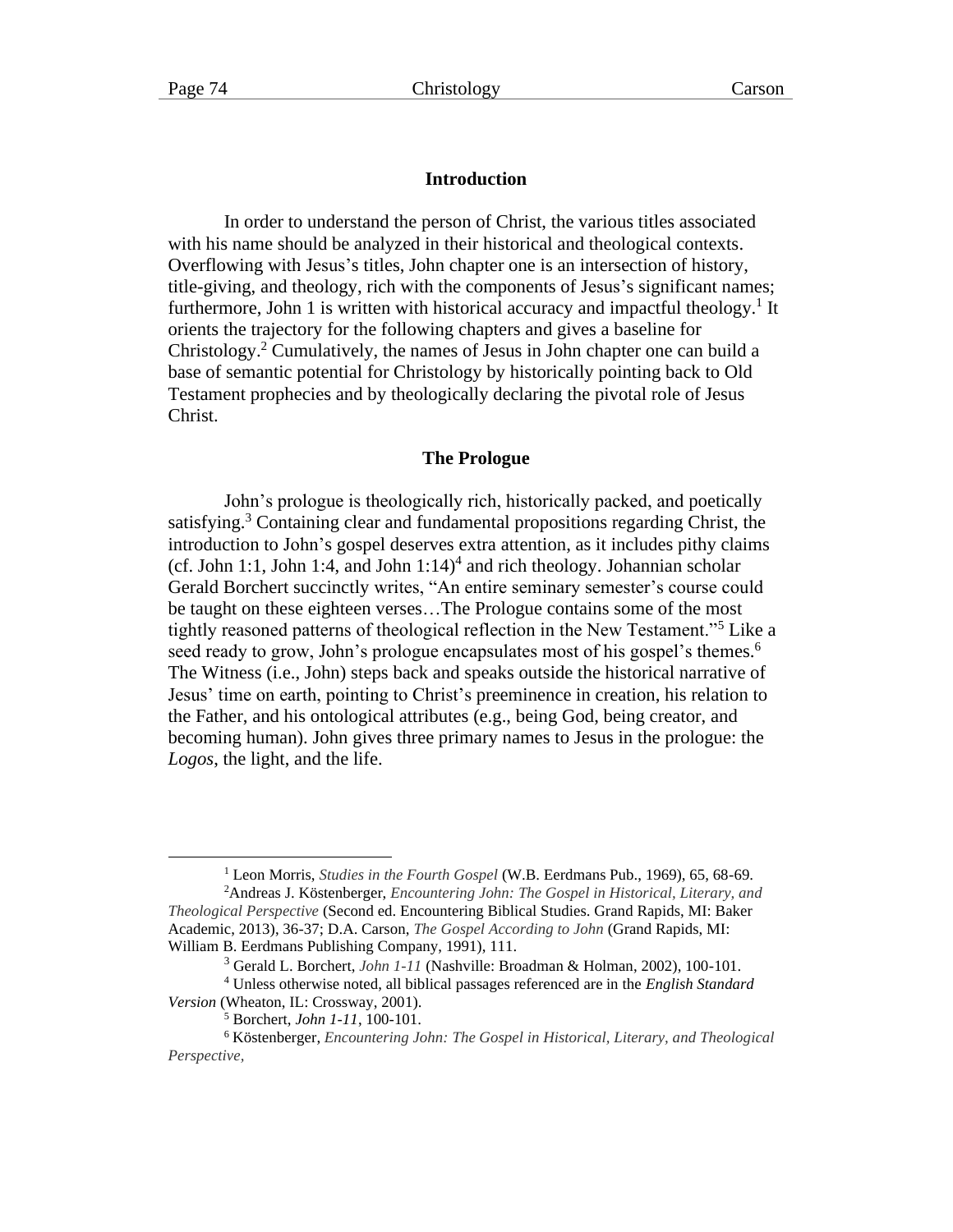# **Introduction**

In order to understand the person of Christ, the various titles associated with his name should be analyzed in their historical and theological contexts. Overflowing with Jesus's titles, John chapter one is an intersection of history, title-giving, and theology, rich with the components of Jesus's significant names; furthermore, John 1 is written with historical accuracy and impactful theology.<sup>1</sup> It orients the trajectory for the following chapters and gives a baseline for Christology. <sup>2</sup> Cumulatively, the names of Jesus in John chapter one can build a base of semantic potential for Christology by historically pointing back to Old Testament prophecies and by theologically declaring the pivotal role of Jesus Christ.

# **The Prologue**

John's prologue is theologically rich, historically packed, and poetically satisfying.<sup>3</sup> Containing clear and fundamental propositions regarding Christ, the introduction to John's gospel deserves extra attention, as it includes pithy claims  $(cf. John 1:1, John 1:4, and John 1:14)<sup>4</sup> and rich theology. Johannian scholar$ Gerald Borchert succinctly writes, "An entire seminary semester's course could be taught on these eighteen verses…The Prologue contains some of the most tightly reasoned patterns of theological reflection in the New Testament."<sup>5</sup> Like a seed ready to grow, John's prologue encapsulates most of his gospel's themes.<sup>6</sup> The Witness (i.e., John) steps back and speaks outside the historical narrative of Jesus' time on earth, pointing to Christ's preeminence in creation, his relation to the Father, and his ontological attributes (e.g., being God, being creator, and becoming human). John gives three primary names to Jesus in the prologue: the *Logos*, the light, and the life.

<sup>1</sup> Leon Morris, *Studies in the Fourth Gospel* (W.B. Eerdmans Pub., 1969), 65, 68-69.

<sup>2</sup>Andreas J. Köstenberger, *Encountering John: The Gospel in Historical, Literary, and Theological Perspective* (Second ed. Encountering Biblical Studies. Grand Rapids, MI: Baker Academic, 2013), 36-37; D.A. Carson, *The Gospel According to John* (Grand Rapids, MI: William B. Eerdmans Publishing Company, 1991), 111.

<sup>3</sup> Gerald L. Borchert, *John 1-11* (Nashville: Broadman & Holman, 2002), 100-101.

<sup>4</sup> Unless otherwise noted, all biblical passages referenced are in the *English Standard Version* (Wheaton, IL: Crossway, 2001).

<sup>5</sup> Borchert, *John 1-11*, 100-101.

<sup>6</sup> Köstenberger, *Encountering John: The Gospel in Historical, Literary, and Theological Perspective,*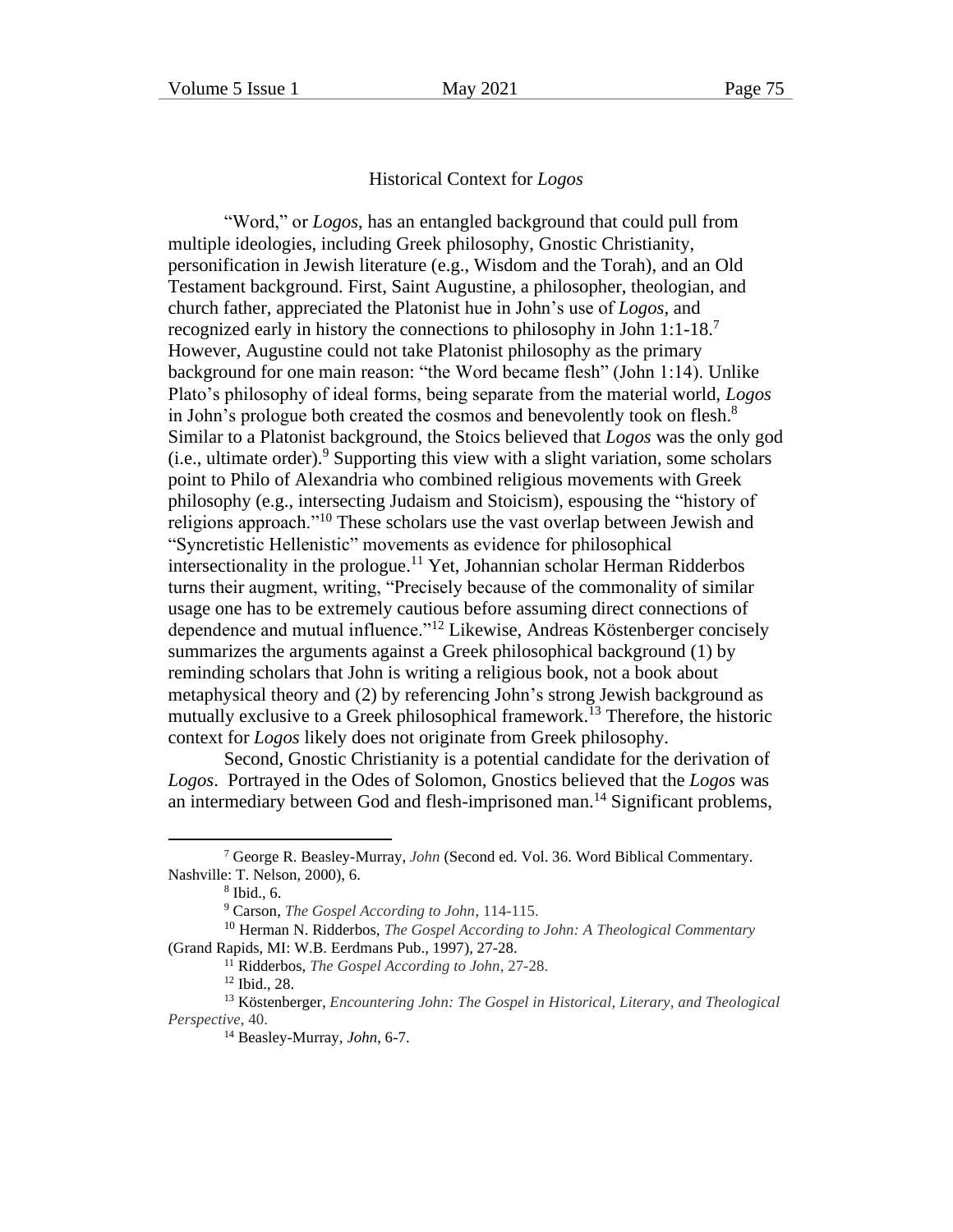# Historical Context for *Logos*

"Word," or *Logos*, has an entangled background that could pull from multiple ideologies, including Greek philosophy, Gnostic Christianity, personification in Jewish literature (e.g., Wisdom and the Torah), and an Old Testament background. First, Saint Augustine, a philosopher, theologian, and church father, appreciated the Platonist hue in John's use of *Logos*, and recognized early in history the connections to philosophy in John 1:1-18.<sup>7</sup> However, Augustine could not take Platonist philosophy as the primary background for one main reason: "the Word became flesh" (John 1:14). Unlike Plato's philosophy of ideal forms, being separate from the material world, *Logos* in John's prologue both created the cosmos and benevolently took on flesh.<sup>8</sup> Similar to a Platonist background, the Stoics believed that *Logos* was the only god (i.e., ultimate order). <sup>9</sup> Supporting this view with a slight variation, some scholars point to Philo of Alexandria who combined religious movements with Greek philosophy (e.g., intersecting Judaism and Stoicism), espousing the "history of religions approach.<sup>"10</sup> These scholars use the vast overlap between Jewish and "Syncretistic Hellenistic" movements as evidence for philosophical intersectionality in the prologue.<sup>11</sup> Yet, Johannian scholar Herman Ridderbos turns their augment, writing, "Precisely because of the commonality of similar usage one has to be extremely cautious before assuming direct connections of dependence and mutual influence."<sup>12</sup> Likewise, Andreas Köstenberger concisely summarizes the arguments against a Greek philosophical background (1) by reminding scholars that John is writing a religious book, not a book about metaphysical theory and (2) by referencing John's strong Jewish background as mutually exclusive to a Greek philosophical framework.<sup>13</sup> Therefore, the historic context for *Logos* likely does not originate from Greek philosophy.

Second, Gnostic Christianity is a potential candidate for the derivation of *Logos*. Portrayed in the Odes of Solomon, Gnostics believed that the *Logos* was an intermediary between God and flesh-imprisoned man.<sup>14</sup> Significant problems,

<sup>7</sup> George R. Beasley-Murray, *John* (Second ed. Vol. 36. Word Biblical Commentary. Nashville: T. Nelson, 2000), 6.

<sup>8</sup> Ibid., 6.

<sup>9</sup> Carson, *The Gospel According to John*, 114-115.

<sup>10</sup> Herman N. Ridderbos, *The Gospel According to John: A Theological Commentary* (Grand Rapids, MI: W.B. Eerdmans Pub., 1997), 27-28.

<sup>11</sup> Ridderbos, *The Gospel According to John*, 27-28.

<sup>12</sup> Ibid., 28.

<sup>13</sup> Köstenberger, *Encountering John: The Gospel in Historical, Literary, and Theological Perspective*, 40.

<sup>14</sup> Beasley-Murray, *John*, 6-7.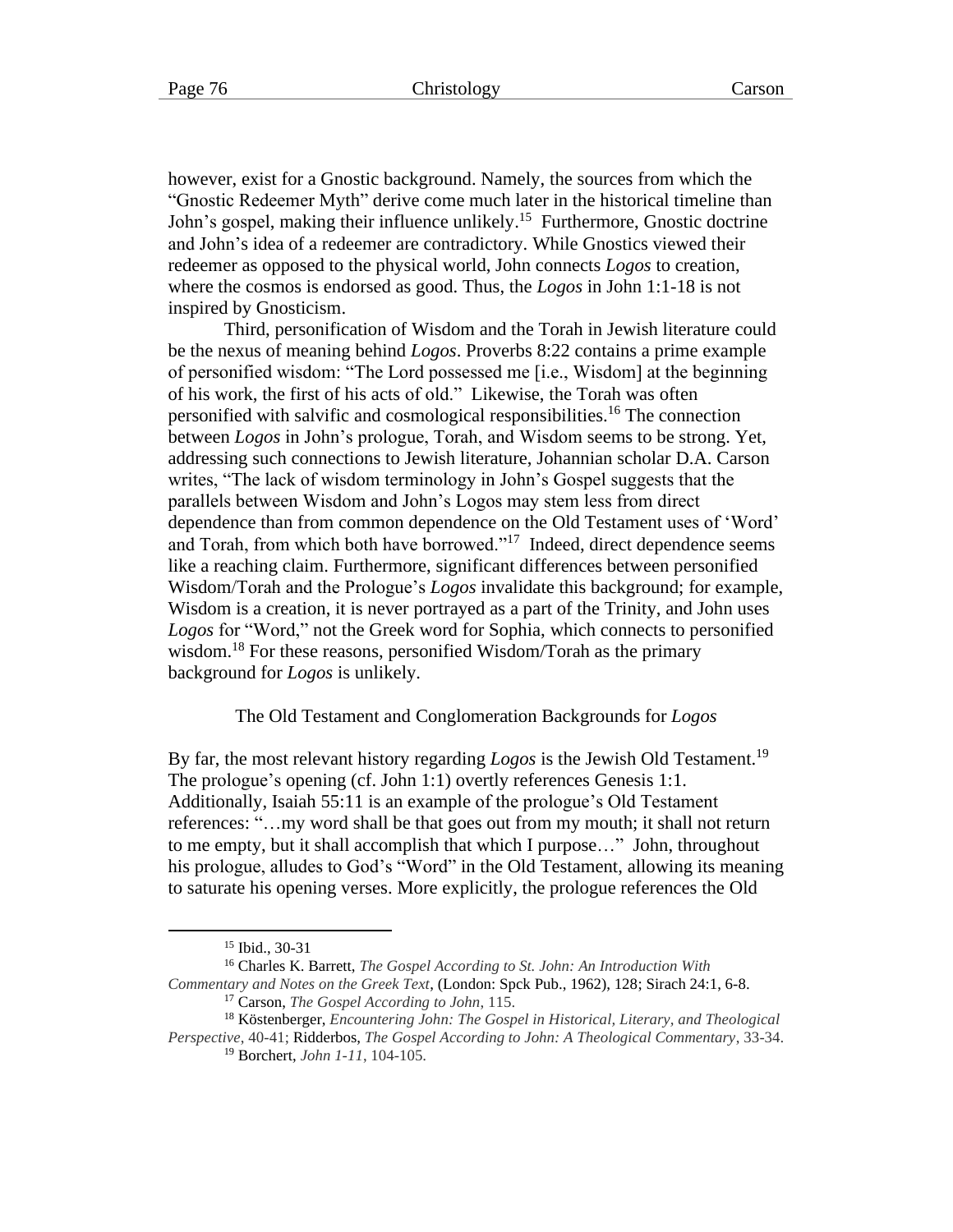however, exist for a Gnostic background. Namely, the sources from which the "Gnostic Redeemer Myth" derive come much later in the historical timeline than John's gospel, making their influence unlikely.<sup>15</sup> Furthermore, Gnostic doctrine and John's idea of a redeemer are contradictory. While Gnostics viewed their redeemer as opposed to the physical world, John connects *Logos* to creation, where the cosmos is endorsed as good. Thus, the *Logos* in John 1:1-18 is not inspired by Gnosticism.

Third, personification of Wisdom and the Torah in Jewish literature could be the nexus of meaning behind *Logos*. Proverbs 8:22 contains a prime example of personified wisdom: "The Lord possessed me [i.e., Wisdom] at the beginning of his work, the first of his acts of old." Likewise, the Torah was often personified with salvific and cosmological responsibilities.<sup>16</sup> The connection between *Logos* in John's prologue, Torah, and Wisdom seems to be strong. Yet, addressing such connections to Jewish literature, Johannian scholar D.A. Carson writes, "The lack of wisdom terminology in John's Gospel suggests that the parallels between Wisdom and John's Logos may stem less from direct dependence than from common dependence on the Old Testament uses of 'Word' and Torah, from which both have borrowed."<sup>17</sup> Indeed, direct dependence seems like a reaching claim. Furthermore, significant differences between personified Wisdom/Torah and the Prologue's *Logos* invalidate this background; for example, Wisdom is a creation, it is never portrayed as a part of the Trinity, and John uses *Logos* for "Word," not the Greek word for Sophia, which connects to personified wisdom.<sup>18</sup> For these reasons, personified Wisdom/Torah as the primary background for *Logos* is unlikely.

The Old Testament and Conglomeration Backgrounds for *Logos*

By far, the most relevant history regarding *Logos* is the Jewish Old Testament.<sup>19</sup> The prologue's opening (cf. John 1:1) overtly references Genesis 1:1. Additionally, Isaiah 55:11 is an example of the prologue's Old Testament references: "…my word shall be that goes out from my mouth; it shall not return to me empty, but it shall accomplish that which I purpose…" John, throughout his prologue, alludes to God's "Word" in the Old Testament, allowing its meaning to saturate his opening verses. More explicitly, the prologue references the Old

<sup>15</sup> Ibid., 30-31

<sup>16</sup> Charles K. Barrett, *The Gospel According to St. John: An Introduction With* 

*Commentary and Notes on the Greek Text*, (London: Spck Pub., 1962), 128; Sirach 24:1, 6-8. <sup>17</sup> Carson, *The Gospel According to John*, 115.

<sup>18</sup> Köstenberger, *Encountering John: The Gospel in Historical, Literary, and Theological* 

*Perspective*, 40-41; Ridderbos, *The Gospel According to John: A Theological Commentary*, 33-34. <sup>19</sup> Borchert, *John 1-11*, 104-105.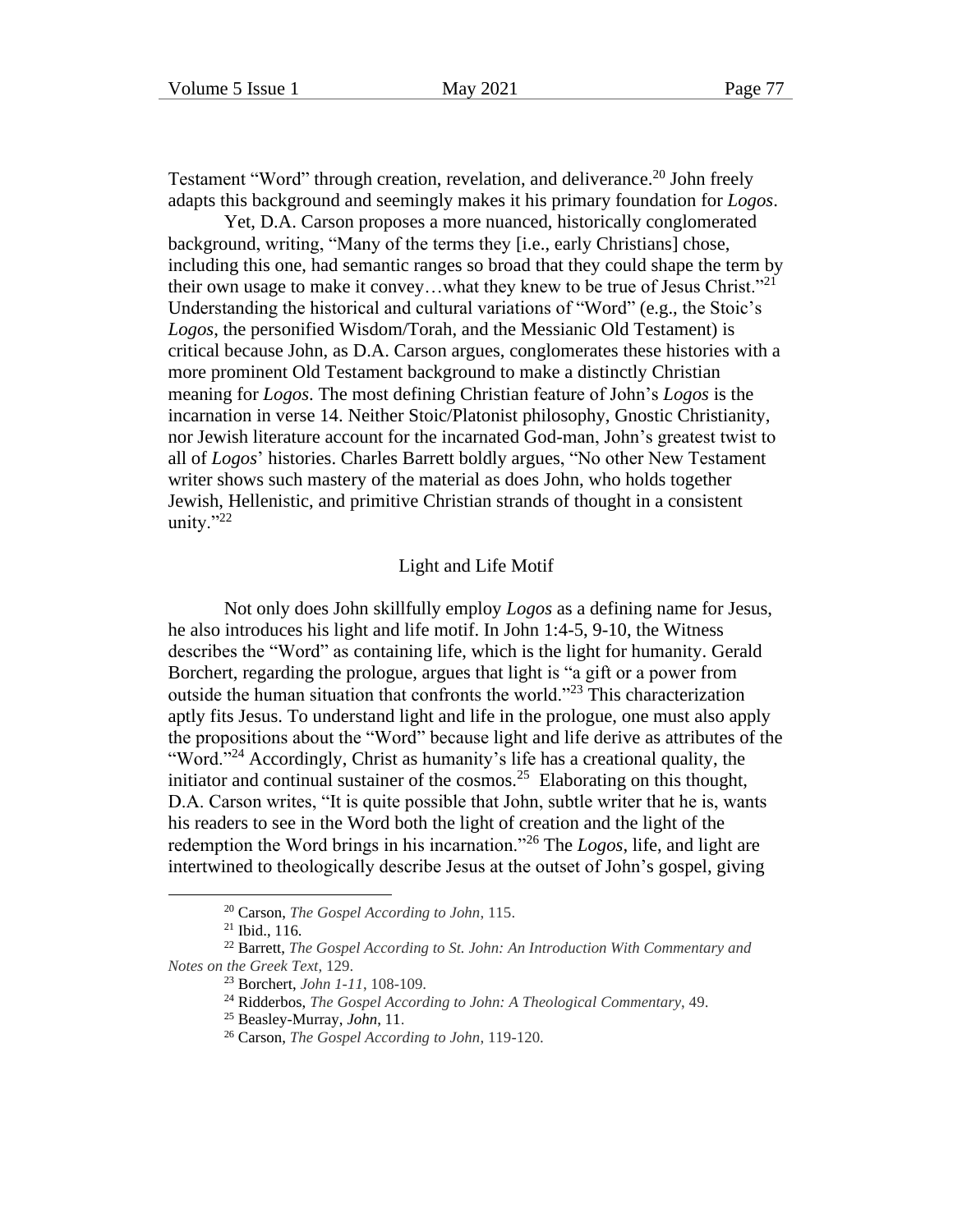Testament "Word" through creation, revelation, and deliverance.<sup>20</sup> John freely adapts this background and seemingly makes it his primary foundation for *Logos*.

Yet, D.A. Carson proposes a more nuanced, historically conglomerated background, writing, "Many of the terms they [i.e., early Christians] chose, including this one, had semantic ranges so broad that they could shape the term by their own usage to make it convey...what they knew to be true of Jesus Christ."<sup>21</sup> Understanding the historical and cultural variations of "Word" (e.g., the Stoic's *Logos*, the personified Wisdom/Torah, and the Messianic Old Testament) is critical because John, as D.A. Carson argues, conglomerates these histories with a more prominent Old Testament background to make a distinctly Christian meaning for *Logos*. The most defining Christian feature of John's *Logos* is the incarnation in verse 14. Neither Stoic/Platonist philosophy, Gnostic Christianity, nor Jewish literature account for the incarnated God-man, John's greatest twist to all of *Logos*' histories. Charles Barrett boldly argues, "No other New Testament writer shows such mastery of the material as does John, who holds together Jewish, Hellenistic, and primitive Christian strands of thought in a consistent unity." $^{22}$ 

#### Light and Life Motif

Not only does John skillfully employ *Logos* as a defining name for Jesus, he also introduces his light and life motif. In John 1:4-5, 9-10, the Witness describes the "Word" as containing life, which is the light for humanity. Gerald Borchert, regarding the prologue, argues that light is "a gift or a power from outside the human situation that confronts the world."<sup>23</sup> This characterization aptly fits Jesus. To understand light and life in the prologue, one must also apply the propositions about the "Word" because light and life derive as attributes of the "Word."<sup>24</sup> Accordingly, Christ as humanity's life has a creational quality, the initiator and continual sustainer of the  $cosmos.<sup>25</sup>$  Elaborating on this thought, D.A. Carson writes, "It is quite possible that John, subtle writer that he is, wants his readers to see in the Word both the light of creation and the light of the redemption the Word brings in his incarnation."<sup>26</sup> The *Logos*, life, and light are intertwined to theologically describe Jesus at the outset of John's gospel, giving

<sup>20</sup> Carson, *The Gospel According to John*, 115.

<sup>21</sup> Ibid., 116.

<sup>22</sup> Barrett, *The Gospel According to St. John: An Introduction With Commentary and Notes on the Greek Text*, 129.

<sup>23</sup> Borchert, *John 1-11*, 108-109.

<sup>24</sup> Ridderbos, *The Gospel According to John: A Theological Commentary*, 49.

<sup>25</sup> Beasley-Murray, *John*, 11.

<sup>26</sup> Carson, *The Gospel According to John*, 119-120.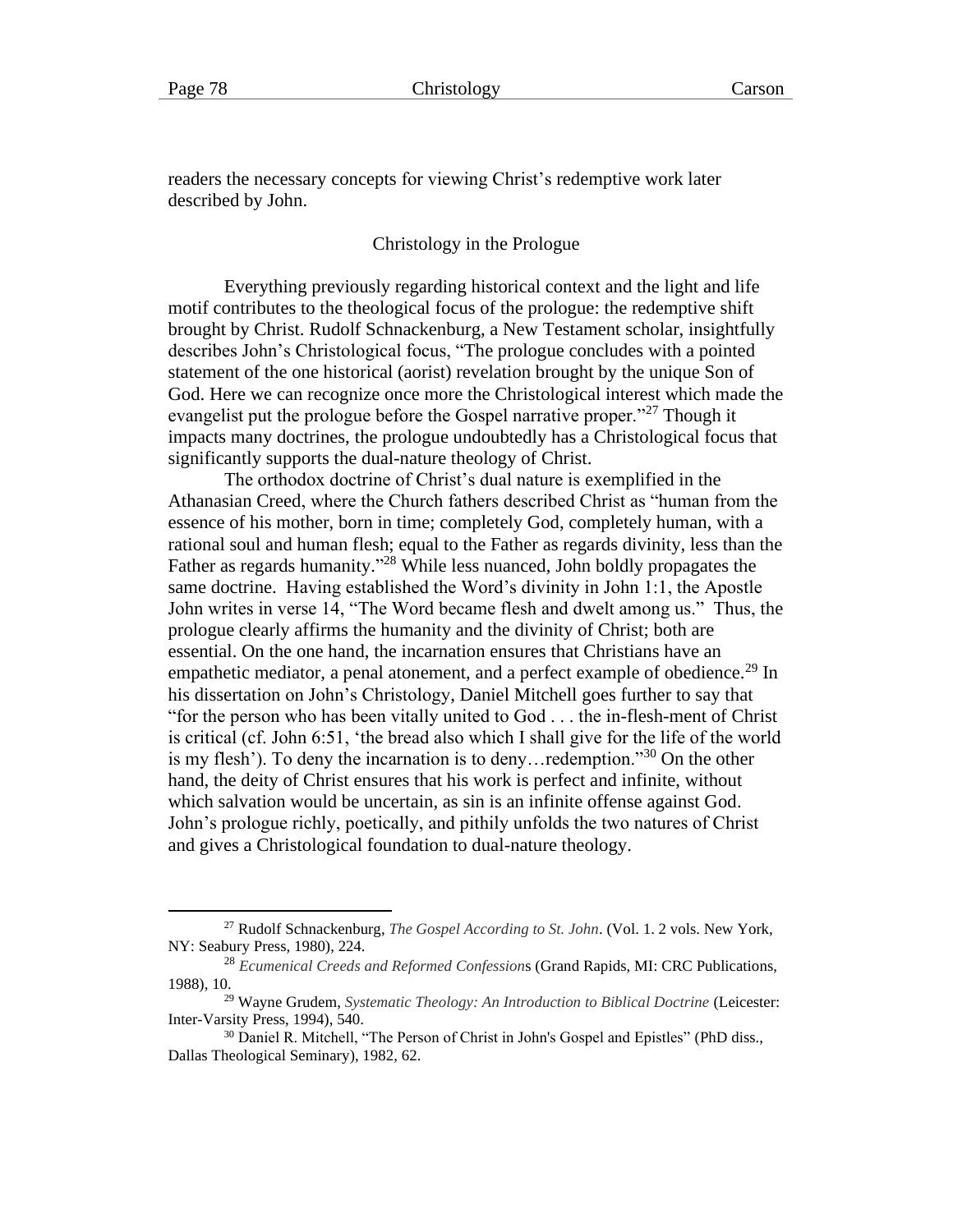readers the necessary concepts for viewing Christ's redemptive work later described by John.

Christology in the Prologue

Everything previously regarding historical context and the light and life motif contributes to the theological focus of the prologue: the redemptive shift brought by Christ. Rudolf Schnackenburg, a New Testament scholar, insightfully describes John's Christological focus, "The prologue concludes with a pointed statement of the one historical (aorist) revelation brought by the unique Son of God. Here we can recognize once more the Christological interest which made the evangelist put the prologue before the Gospel narrative proper."<sup>27</sup> Though it impacts many doctrines, the prologue undoubtedly has a Christological focus that significantly supports the dual-nature theology of Christ.

The orthodox doctrine of Christ's dual nature is exemplified in the Athanasian Creed, where the Church fathers described Christ as "human from the essence of his mother, born in time; completely God, completely human, with a rational soul and human flesh; equal to the Father as regards divinity, less than the Father as regards humanity."<sup>28</sup> While less nuanced, John boldly propagates the same doctrine. Having established the Word's divinity in John 1:1, the Apostle John writes in verse 14, "The Word became flesh and dwelt among us." Thus, the prologue clearly affirms the humanity and the divinity of Christ; both are essential. On the one hand, the incarnation ensures that Christians have an empathetic mediator, a penal atonement, and a perfect example of obedience.<sup>29</sup> In his dissertation on John's Christology, Daniel Mitchell goes further to say that "for the person who has been vitally united to God . . . the in-flesh-ment of Christ is critical (cf. John 6:51, 'the bread also which I shall give for the life of the world is my flesh'). To deny the incarnation is to deny... redemption."<sup>30</sup> On the other hand, the deity of Christ ensures that his work is perfect and infinite, without which salvation would be uncertain, as sin is an infinite offense against God. John's prologue richly, poetically, and pithily unfolds the two natures of Christ and gives a Christological foundation to dual-nature theology.

<sup>27</sup> Rudolf Schnackenburg, *The Gospel According to St. John*. (Vol. 1. 2 vols. New York, NY: Seabury Press, 1980), 224.

<sup>28</sup> *Ecumenical Creeds and Reformed Confession*s (Grand Rapids, MI: CRC Publications, 1988), 10.

<sup>29</sup> Wayne Grudem, *Systematic Theology: An Introduction to Biblical Doctrine* (Leicester: Inter-Varsity Press, 1994), 540.

<sup>&</sup>lt;sup>30</sup> Daniel R. Mitchell, "The Person of Christ in John's Gospel and Epistles" (PhD diss., Dallas Theological Seminary), 1982, 62.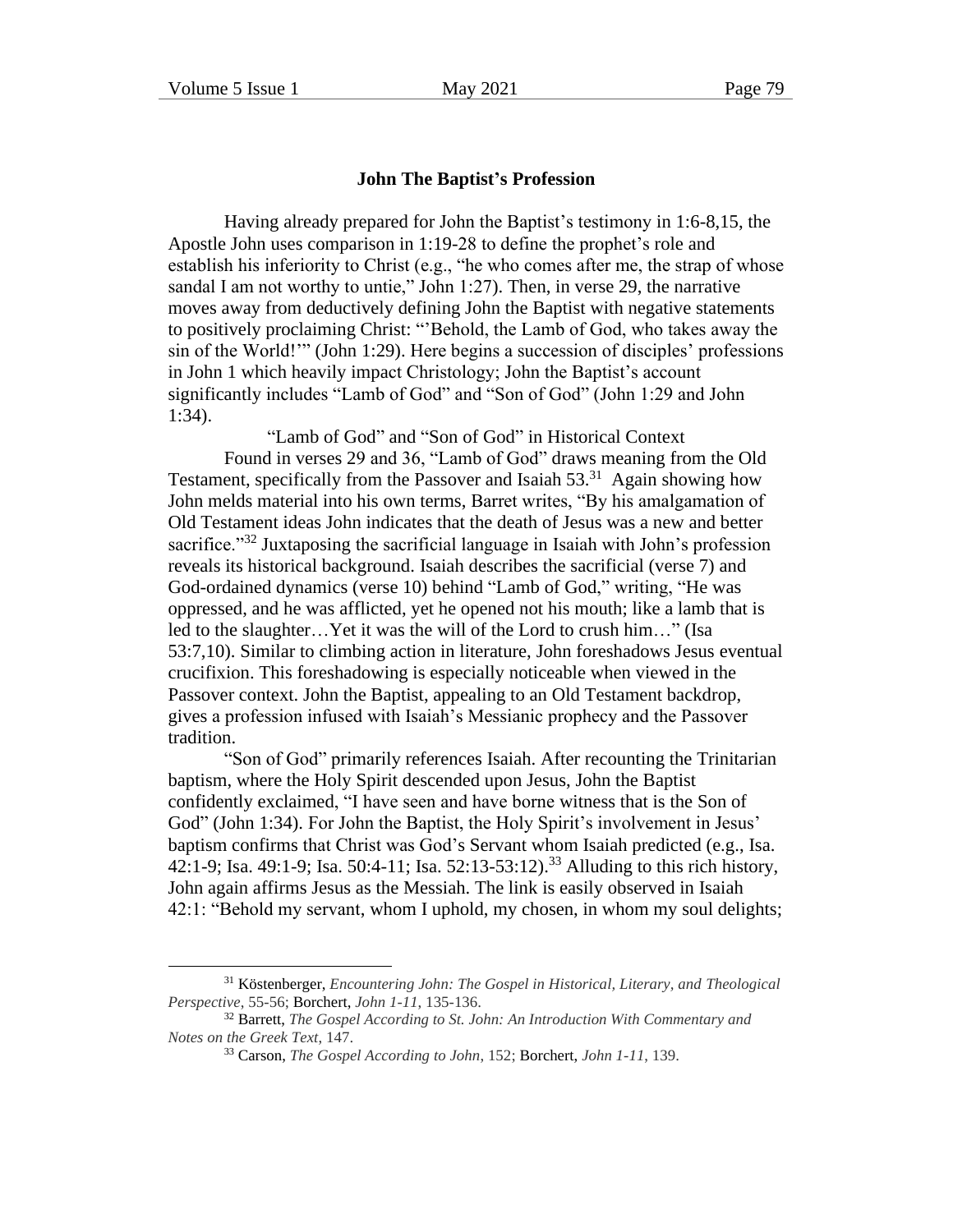#### **John The Baptist's Profession**

Having already prepared for John the Baptist's testimony in 1:6-8,15, the Apostle John uses comparison in 1:19-28 to define the prophet's role and establish his inferiority to Christ (e.g., "he who comes after me, the strap of whose sandal I am not worthy to untie," John 1:27). Then, in verse 29, the narrative moves away from deductively defining John the Baptist with negative statements to positively proclaiming Christ: "'Behold, the Lamb of God, who takes away the sin of the World!'" (John 1:29). Here begins a succession of disciples' professions in John 1 which heavily impact Christology; John the Baptist's account significantly includes "Lamb of God" and "Son of God" (John 1:29 and John 1:34).

"Lamb of God" and "Son of God" in Historical Context

Found in verses 29 and 36, "Lamb of God" draws meaning from the Old Testament, specifically from the Passover and Isaiah  $53<sup>31</sup>$  Again showing how John melds material into his own terms, Barret writes, "By his amalgamation of Old Testament ideas John indicates that the death of Jesus was a new and better sacrifice.<sup>"32</sup> Juxtaposing the sacrificial language in Isaiah with John's profession reveals its historical background. Isaiah describes the sacrificial (verse 7) and God-ordained dynamics (verse 10) behind "Lamb of God," writing, "He was oppressed, and he was afflicted, yet he opened not his mouth; like a lamb that is led to the slaughter…Yet it was the will of the Lord to crush him…" (Isa 53:7,10). Similar to climbing action in literature, John foreshadows Jesus eventual crucifixion. This foreshadowing is especially noticeable when viewed in the Passover context. John the Baptist, appealing to an Old Testament backdrop, gives a profession infused with Isaiah's Messianic prophecy and the Passover tradition.

"Son of God" primarily references Isaiah. After recounting the Trinitarian baptism, where the Holy Spirit descended upon Jesus, John the Baptist confidently exclaimed, "I have seen and have borne witness that is the Son of God" (John 1:34). For John the Baptist, the Holy Spirit's involvement in Jesus' baptism confirms that Christ was God's Servant whom Isaiah predicted (e.g., Isa. 42:1-9; Isa. 49:1-9; Isa. 50:4-11; Isa. 52:13-53:12).<sup>33</sup> Alluding to this rich history, John again affirms Jesus as the Messiah. The link is easily observed in Isaiah 42:1: "Behold my servant, whom I uphold, my chosen, in whom my soul delights;

<sup>31</sup> Köstenberger, *Encountering John: The Gospel in Historical, Literary, and Theological Perspective*, 55-56; Borchert, *John 1-11*, 135-136.

<sup>32</sup> Barrett, *The Gospel According to St. John: An Introduction With Commentary and Notes on the Greek Text*, 147.

<sup>33</sup> Carson, *The Gospel According to John*, 152; Borchert, *John 1-11*, 139.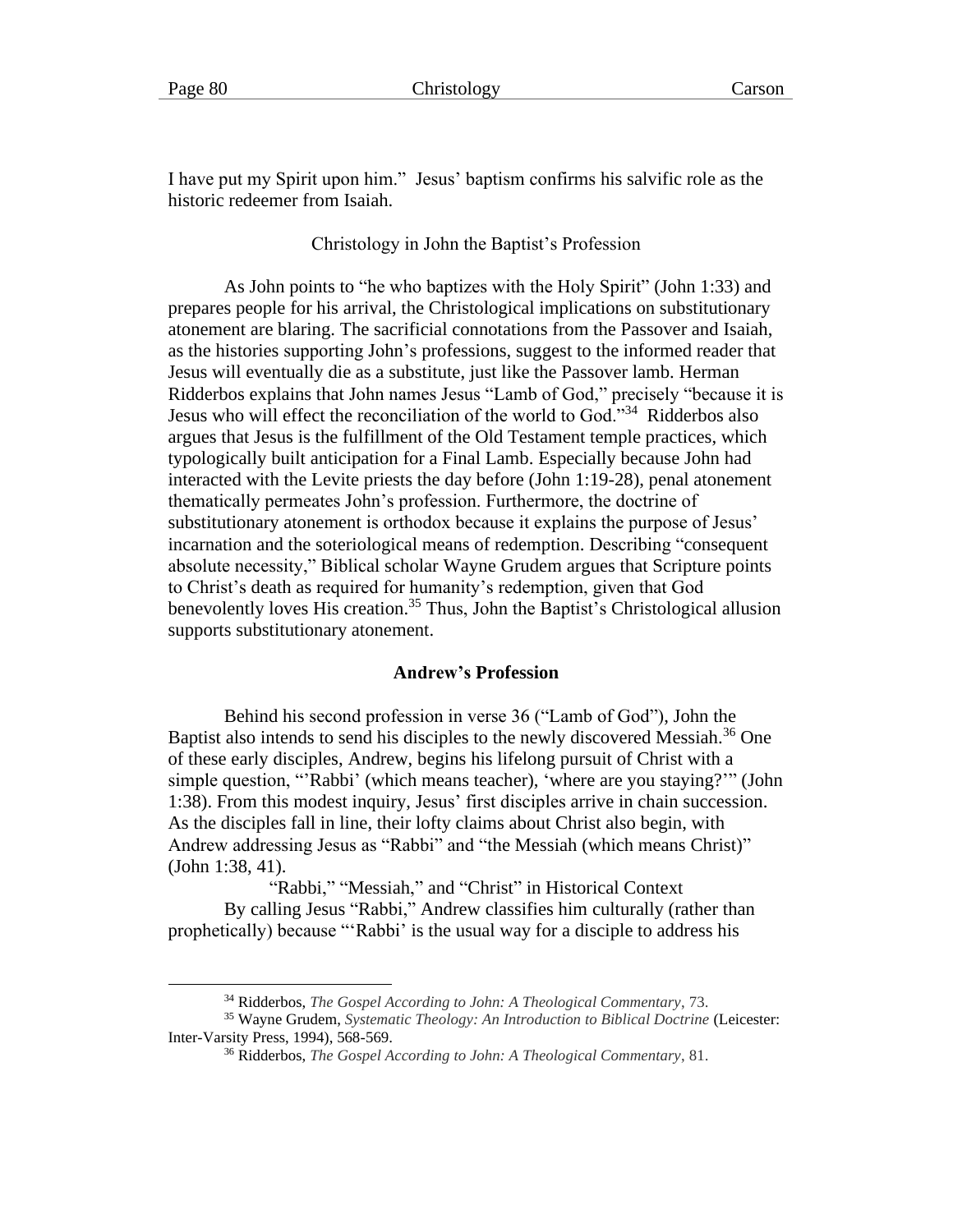I have put my Spirit upon him." Jesus' baptism confirms his salvific role as the historic redeemer from Isaiah.

Christology in John the Baptist's Profession

As John points to "he who baptizes with the Holy Spirit" (John 1:33) and prepares people for his arrival, the Christological implications on substitutionary atonement are blaring. The sacrificial connotations from the Passover and Isaiah, as the histories supporting John's professions, suggest to the informed reader that Jesus will eventually die as a substitute, just like the Passover lamb. Herman Ridderbos explains that John names Jesus "Lamb of God," precisely "because it is Jesus who will effect the reconciliation of the world to God."<sup>34</sup> Ridderbos also argues that Jesus is the fulfillment of the Old Testament temple practices, which typologically built anticipation for a Final Lamb. Especially because John had interacted with the Levite priests the day before (John 1:19-28), penal atonement thematically permeates John's profession. Furthermore, the doctrine of substitutionary atonement is orthodox because it explains the purpose of Jesus' incarnation and the soteriological means of redemption. Describing "consequent absolute necessity," Biblical scholar Wayne Grudem argues that Scripture points to Christ's death as required for humanity's redemption, given that God benevolently loves His creation.<sup>35</sup> Thus, John the Baptist's Christological allusion supports substitutionary atonement.

#### **Andrew's Profession**

Behind his second profession in verse 36 ("Lamb of God"), John the Baptist also intends to send his disciples to the newly discovered Messiah.<sup>36</sup> One of these early disciples, Andrew, begins his lifelong pursuit of Christ with a simple question, "'Rabbi' (which means teacher), 'where are you staying?'" (John 1:38). From this modest inquiry, Jesus' first disciples arrive in chain succession. As the disciples fall in line, their lofty claims about Christ also begin, with Andrew addressing Jesus as "Rabbi" and "the Messiah (which means Christ)" (John 1:38, 41).

"Rabbi," "Messiah," and "Christ" in Historical Context By calling Jesus "Rabbi," Andrew classifies him culturally (rather than prophetically) because "'Rabbi' is the usual way for a disciple to address his

<sup>34</sup> Ridderbos, *The Gospel According to John: A Theological Commentary*, 73.

<sup>35</sup> Wayne Grudem, *Systematic Theology: An Introduction to Biblical Doctrine* (Leicester: Inter-Varsity Press, 1994), 568-569.

<sup>36</sup> Ridderbos, *The Gospel According to John: A Theological Commentary*, 81.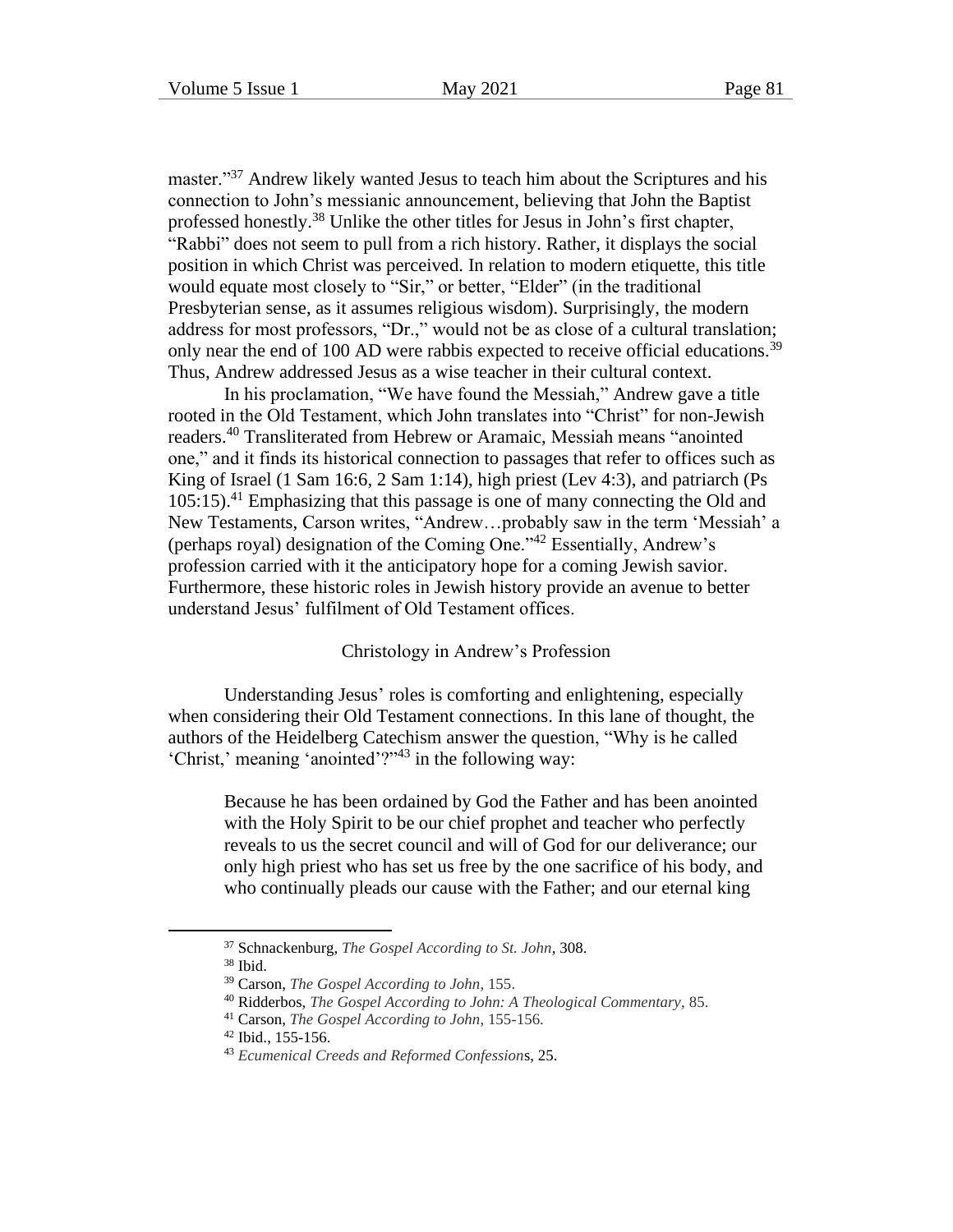master."<sup>37</sup> Andrew likely wanted Jesus to teach him about the Scriptures and his connection to John's messianic announcement, believing that John the Baptist professed honestly.<sup>38</sup> Unlike the other titles for Jesus in John's first chapter, "Rabbi" does not seem to pull from a rich history. Rather, it displays the social position in which Christ was perceived. In relation to modern etiquette, this title would equate most closely to "Sir," or better, "Elder" (in the traditional Presbyterian sense, as it assumes religious wisdom). Surprisingly, the modern address for most professors, "Dr.," would not be as close of a cultural translation; only near the end of 100 AD were rabbis expected to receive official educations.<sup>39</sup> Thus, Andrew addressed Jesus as a wise teacher in their cultural context.

In his proclamation, "We have found the Messiah," Andrew gave a title rooted in the Old Testament, which John translates into "Christ" for non-Jewish readers.<sup>40</sup> Transliterated from Hebrew or Aramaic, Messiah means "anointed one," and it finds its historical connection to passages that refer to offices such as King of Israel (1 Sam 16:6, 2 Sam 1:14), high priest (Lev 4:3), and patriarch (Ps  $105:15$ .<sup>41</sup> Emphasizing that this passage is one of many connecting the Old and New Testaments, Carson writes, "Andrew…probably saw in the term 'Messiah' a (perhaps royal) designation of the Coming One."<sup>42</sup> Essentially, Andrew's profession carried with it the anticipatory hope for a coming Jewish savior. Furthermore, these historic roles in Jewish history provide an avenue to better understand Jesus' fulfilment of Old Testament offices.

# Christology in Andrew's Profession

Understanding Jesus' roles is comforting and enlightening, especially when considering their Old Testament connections. In this lane of thought, the authors of the Heidelberg Catechism answer the question, "Why is he called 'Christ,' meaning 'anointed'?"<sup>43</sup> in the following way:

Because he has been ordained by God the Father and has been anointed with the Holy Spirit to be our chief prophet and teacher who perfectly reveals to us the secret council and will of God for our deliverance; our only high priest who has set us free by the one sacrifice of his body, and who continually pleads our cause with the Father; and our eternal king

<sup>37</sup> Schnackenburg, *The Gospel According to St. John*, 308.

<sup>38</sup> Ibid.

<sup>39</sup> Carson, *The Gospel According to John*, 155.

<sup>40</sup> Ridderbos, *The Gospel According to John: A Theological Commentary*, 85.

<sup>41</sup> Carson, *The Gospel According to John*, 155-156.

<sup>42</sup> Ibid., 155-156.

<sup>43</sup> *Ecumenical Creeds and Reformed Confession*s, 25.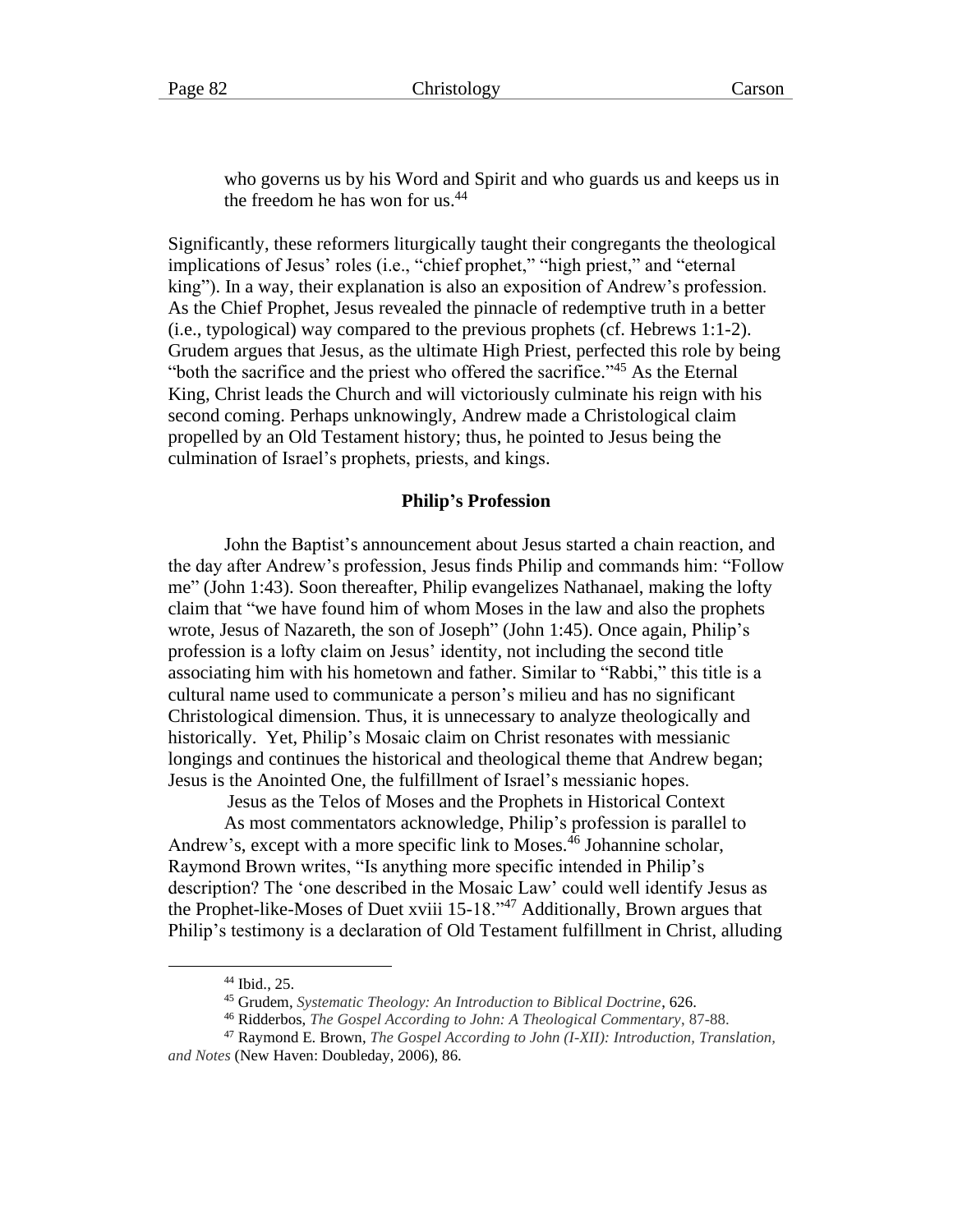who governs us by his Word and Spirit and who guards us and keeps us in the freedom he has won for us. $44$ 

Significantly, these reformers liturgically taught their congregants the theological implications of Jesus' roles (i.e., "chief prophet," "high priest," and "eternal king"). In a way, their explanation is also an exposition of Andrew's profession. As the Chief Prophet, Jesus revealed the pinnacle of redemptive truth in a better (i.e., typological) way compared to the previous prophets (cf. Hebrews 1:1-2). Grudem argues that Jesus, as the ultimate High Priest, perfected this role by being "both the sacrifice and the priest who offered the sacrifice."<sup>45</sup> As the Eternal King, Christ leads the Church and will victoriously culminate his reign with his second coming. Perhaps unknowingly, Andrew made a Christological claim propelled by an Old Testament history; thus, he pointed to Jesus being the culmination of Israel's prophets, priests, and kings.

#### **Philip's Profession**

John the Baptist's announcement about Jesus started a chain reaction, and the day after Andrew's profession, Jesus finds Philip and commands him: "Follow me" (John 1:43). Soon thereafter, Philip evangelizes Nathanael, making the lofty claim that "we have found him of whom Moses in the law and also the prophets wrote, Jesus of Nazareth, the son of Joseph" (John 1:45). Once again, Philip's profession is a lofty claim on Jesus' identity, not including the second title associating him with his hometown and father. Similar to "Rabbi," this title is a cultural name used to communicate a person's milieu and has no significant Christological dimension. Thus, it is unnecessary to analyze theologically and historically. Yet, Philip's Mosaic claim on Christ resonates with messianic longings and continues the historical and theological theme that Andrew began; Jesus is the Anointed One, the fulfillment of Israel's messianic hopes.

Jesus as the Telos of Moses and the Prophets in Historical Context

As most commentators acknowledge, Philip's profession is parallel to Andrew's, except with a more specific link to Moses.<sup>46</sup> Johannine scholar, Raymond Brown writes, "Is anything more specific intended in Philip's description? The 'one described in the Mosaic Law' could well identify Jesus as the Prophet-like-Moses of Duet xviii 15-18.<sup>347</sup> Additionally, Brown argues that Philip's testimony is a declaration of Old Testament fulfillment in Christ, alluding

<sup>44</sup> Ibid., 25.

<sup>45</sup> Grudem, *Systematic Theology: An Introduction to Biblical Doctrine*, 626.

<sup>46</sup> Ridderbos, *The Gospel According to John: A Theological Commentary*, 87-88.

<sup>47</sup> Raymond E. Brown, *The Gospel According to John (I-XII): Introduction, Translation, and Notes* (New Haven: Doubleday, 2006), 86.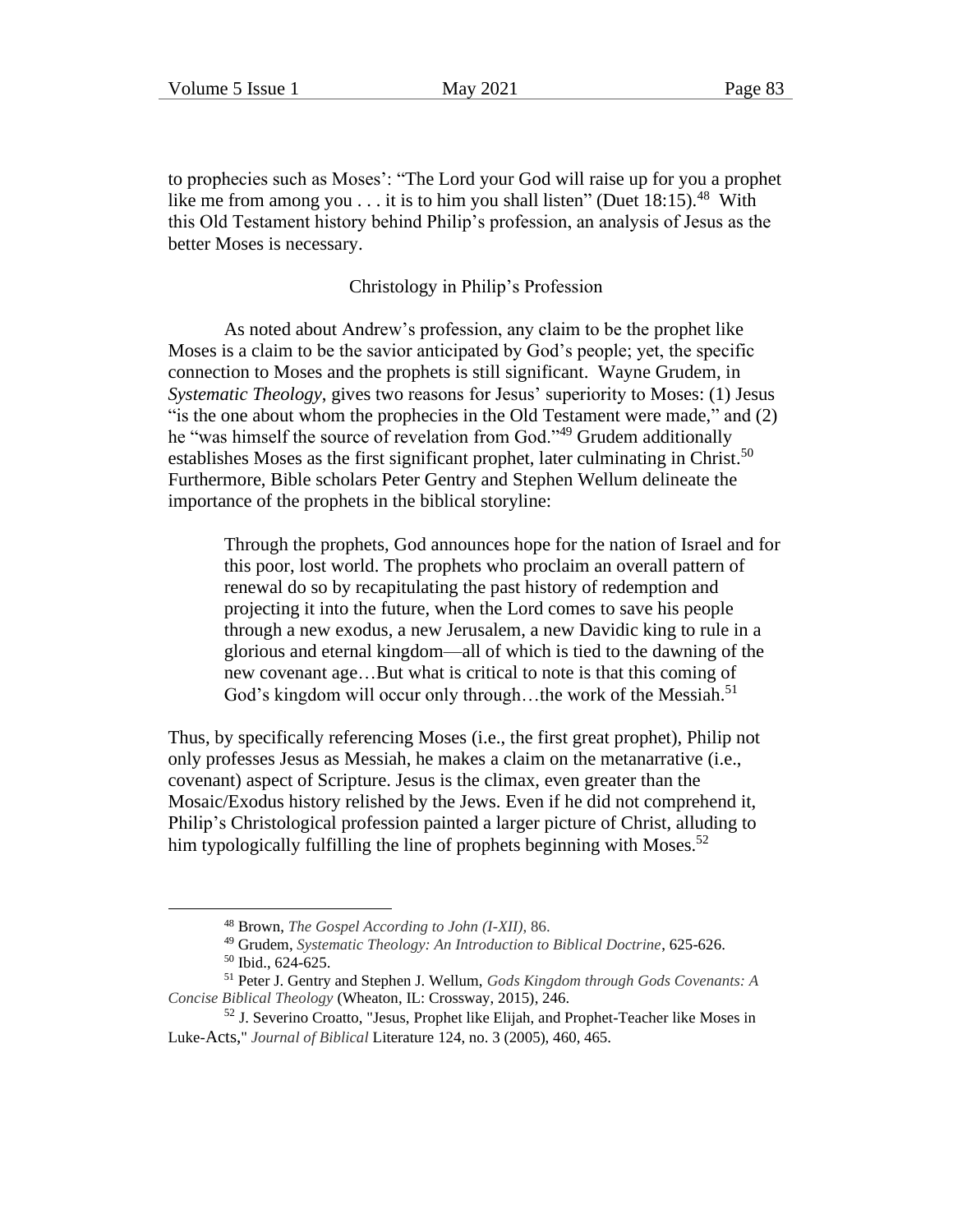to prophecies such as Moses': "The Lord your God will raise up for you a prophet like me from among you  $\dots$  it is to him you shall listen" (Duet 18:15).<sup>48</sup> With this Old Testament history behind Philip's profession, an analysis of Jesus as the better Moses is necessary.

#### Christology in Philip's Profession

As noted about Andrew's profession, any claim to be the prophet like Moses is a claim to be the savior anticipated by God's people; yet, the specific connection to Moses and the prophets is still significant. Wayne Grudem, in *Systematic Theology*, gives two reasons for Jesus' superiority to Moses: (1) Jesus "is the one about whom the prophecies in the Old Testament were made," and (2) he "was himself the source of revelation from God."<sup>49</sup> Grudem additionally establishes Moses as the first significant prophet, later culminating in Christ.<sup>50</sup> Furthermore, Bible scholars Peter Gentry and Stephen Wellum delineate the importance of the prophets in the biblical storyline:

Through the prophets, God announces hope for the nation of Israel and for this poor, lost world. The prophets who proclaim an overall pattern of renewal do so by recapitulating the past history of redemption and projecting it into the future, when the Lord comes to save his people through a new exodus, a new Jerusalem, a new Davidic king to rule in a glorious and eternal kingdom—all of which is tied to the dawning of the new covenant age…But what is critical to note is that this coming of God's kingdom will occur only through...the work of the Messiah.<sup>51</sup>

Thus, by specifically referencing Moses (i.e., the first great prophet), Philip not only professes Jesus as Messiah, he makes a claim on the metanarrative (i.e., covenant) aspect of Scripture. Jesus is the climax, even greater than the Mosaic/Exodus history relished by the Jews. Even if he did not comprehend it, Philip's Christological profession painted a larger picture of Christ, alluding to him typologically fulfilling the line of prophets beginning with Moses.<sup>52</sup>

<sup>48</sup> Brown, *The Gospel According to John (I-XII)*, 86.

<sup>49</sup> Grudem, *Systematic Theology: An Introduction to Biblical Doctrine*, 625-626.

<sup>50</sup> Ibid., 624-625.

<sup>51</sup> Peter J. Gentry and Stephen J. Wellum, *Gods Kingdom through Gods Covenants: A Concise Biblical Theology* (Wheaton, IL: Crossway, 2015), 246.

<sup>52</sup> J. Severino Croatto, "Jesus, Prophet like Elijah, and Prophet-Teacher like Moses in Luke-Acts," *Journal of Biblical* Literature 124, no. 3 (2005), 460, 465.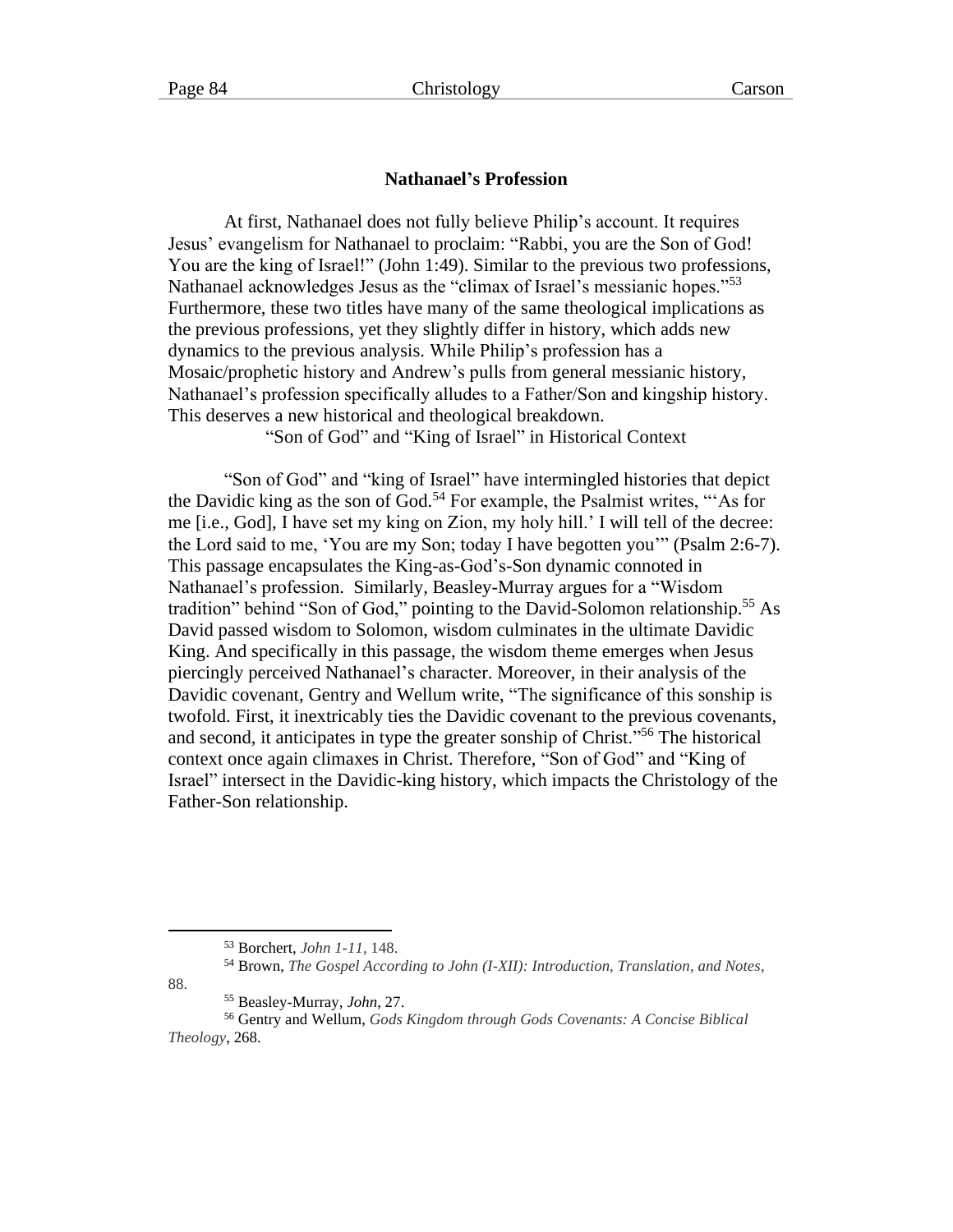# **Nathanael's Profession**

At first, Nathanael does not fully believe Philip's account. It requires Jesus' evangelism for Nathanael to proclaim: "Rabbi, you are the Son of God! You are the king of Israel!" (John 1:49). Similar to the previous two professions, Nathanael acknowledges Jesus as the "climax of Israel's messianic hopes."<sup>53</sup> Furthermore, these two titles have many of the same theological implications as the previous professions, yet they slightly differ in history, which adds new dynamics to the previous analysis. While Philip's profession has a Mosaic/prophetic history and Andrew's pulls from general messianic history, Nathanael's profession specifically alludes to a Father/Son and kingship history. This deserves a new historical and theological breakdown.

"Son of God" and "King of Israel" in Historical Context

"Son of God" and "king of Israel" have intermingled histories that depict the Davidic king as the son of  $\ddot{G}$  od.<sup>54</sup> For example, the Psalmist writes, "As for me [i.e., God], I have set my king on Zion, my holy hill.' I will tell of the decree: the Lord said to me, 'You are my Son; today I have begotten you'" (Psalm 2:6-7). This passage encapsulates the King-as-God's-Son dynamic connoted in Nathanael's profession. Similarly, Beasley-Murray argues for a "Wisdom tradition" behind "Son of God," pointing to the David-Solomon relationship.<sup>55</sup> As David passed wisdom to Solomon, wisdom culminates in the ultimate Davidic King. And specifically in this passage, the wisdom theme emerges when Jesus piercingly perceived Nathanael's character. Moreover, in their analysis of the Davidic covenant, Gentry and Wellum write, "The significance of this sonship is twofold. First, it inextricably ties the Davidic covenant to the previous covenants, and second, it anticipates in type the greater sonship of Christ."<sup>56</sup> The historical context once again climaxes in Christ. Therefore, "Son of God" and "King of Israel" intersect in the Davidic-king history, which impacts the Christology of the Father-Son relationship.

88.

<sup>53</sup> Borchert, *John 1-11*, 148.

<sup>54</sup> Brown, *The Gospel According to John (I-XII): Introduction, Translation, and Notes*,

<sup>55</sup> Beasley-Murray, *John*, 27.

<sup>56</sup> Gentry and Wellum, *Gods Kingdom through Gods Covenants: A Concise Biblical Theology*, 268.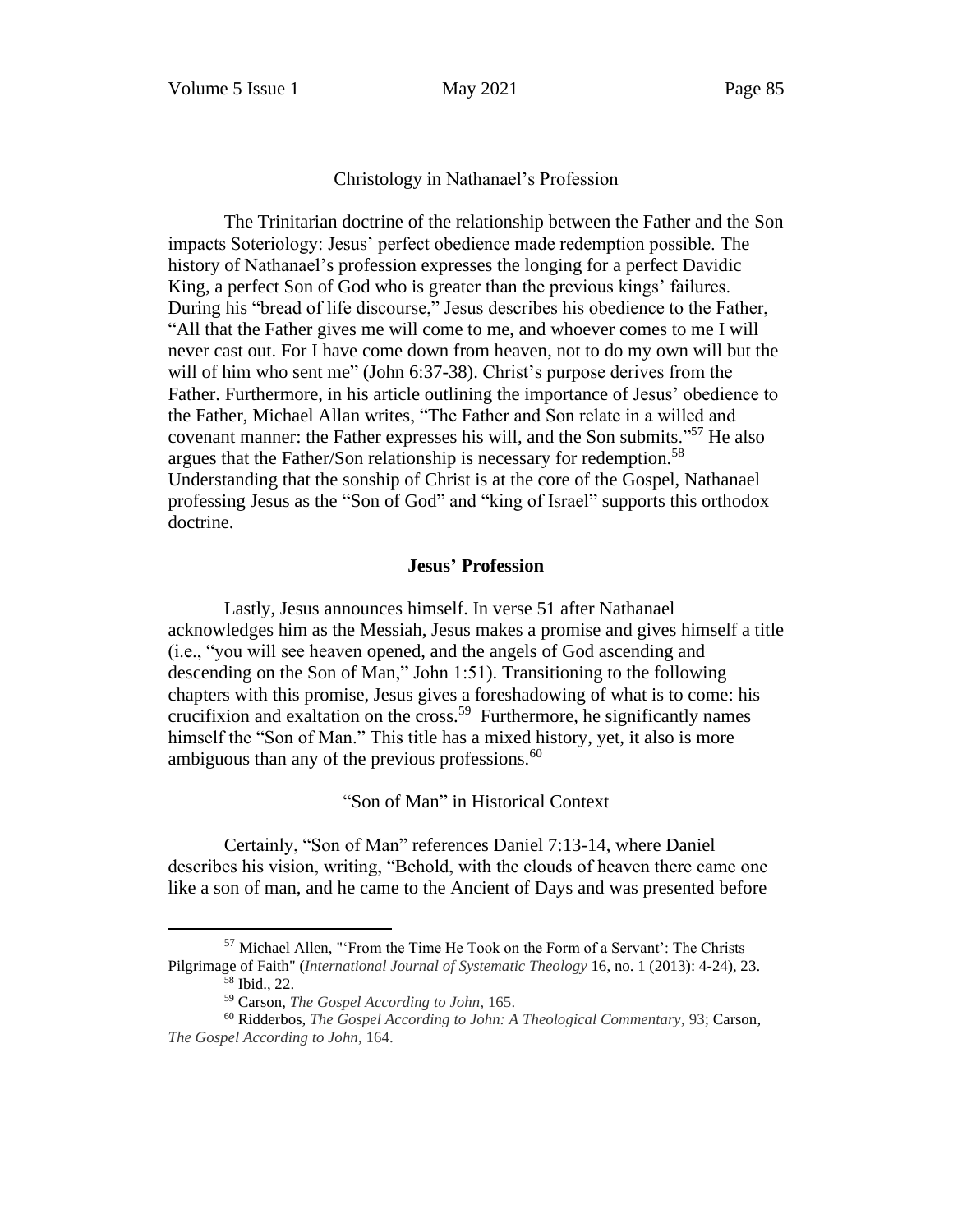# Christology in Nathanael's Profession

The Trinitarian doctrine of the relationship between the Father and the Son impacts Soteriology: Jesus' perfect obedience made redemption possible. The history of Nathanael's profession expresses the longing for a perfect Davidic King, a perfect Son of God who is greater than the previous kings' failures. During his "bread of life discourse," Jesus describes his obedience to the Father, "All that the Father gives me will come to me, and whoever comes to me I will never cast out. For I have come down from heaven, not to do my own will but the will of him who sent me" (John 6:37-38). Christ's purpose derives from the Father. Furthermore, in his article outlining the importance of Jesus' obedience to the Father, Michael Allan writes, "The Father and Son relate in a willed and covenant manner: the Father expresses his will, and the Son submits."<sup>57</sup> He also argues that the Father/Son relationship is necessary for redemption.<sup>58</sup> Understanding that the sonship of Christ is at the core of the Gospel, Nathanael professing Jesus as the "Son of God" and "king of Israel" supports this orthodox doctrine.

# **Jesus' Profession**

Lastly, Jesus announces himself. In verse 51 after Nathanael acknowledges him as the Messiah, Jesus makes a promise and gives himself a title (i.e., "you will see heaven opened, and the angels of God ascending and descending on the Son of Man," John 1:51). Transitioning to the following chapters with this promise, Jesus gives a foreshadowing of what is to come: his crucifixion and exaltation on the cross.<sup>59</sup> Furthermore, he significantly names himself the "Son of Man." This title has a mixed history, yet, it also is more ambiguous than any of the previous professions. $^{60}$ 

"Son of Man" in Historical Context

Certainly, "Son of Man" references Daniel 7:13-14, where Daniel describes his vision, writing, "Behold, with the clouds of heaven there came one like a son of man, and he came to the Ancient of Days and was presented before

 $57$  Michael Allen, "'From the Time He Took on the Form of a Servant': The Christs Pilgrimage of Faith" (*International Journal of Systematic Theology* 16, no. 1 (2013): 4-24), 23.

<sup>58</sup> Ibid., 22.

<sup>59</sup> Carson, *The Gospel According to John*, 165.

<sup>60</sup> Ridderbos, *The Gospel According to John: A Theological Commentary*, 93; Carson, *The Gospel According to John*, 164.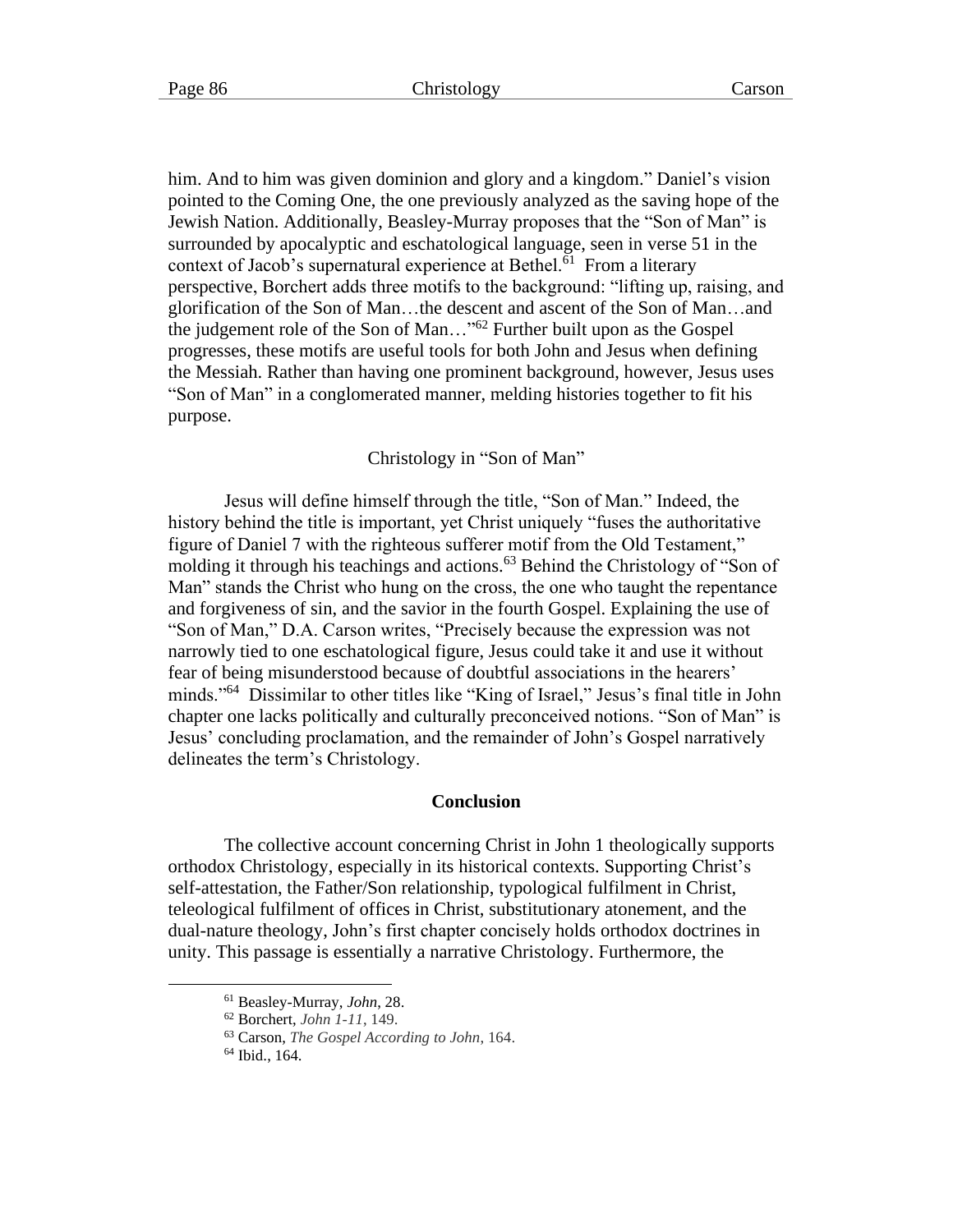him. And to him was given dominion and glory and a kingdom." Daniel's vision pointed to the Coming One, the one previously analyzed as the saving hope of the Jewish Nation. Additionally, Beasley-Murray proposes that the "Son of Man" is surrounded by apocalyptic and eschatological language, seen in verse 51 in the context of Jacob's supernatural experience at Bethel.<sup>61</sup> From a literary perspective, Borchert adds three motifs to the background: "lifting up, raising, and glorification of the Son of Man…the descent and ascent of the Son of Man…and the judgement role of the Son of Man..."<sup>62</sup> Further built upon as the Gospel progresses, these motifs are useful tools for both John and Jesus when defining the Messiah. Rather than having one prominent background, however, Jesus uses "Son of Man" in a conglomerated manner, melding histories together to fit his purpose.

Christology in "Son of Man"

Jesus will define himself through the title, "Son of Man." Indeed, the history behind the title is important, yet Christ uniquely "fuses the authoritative figure of Daniel 7 with the righteous sufferer motif from the Old Testament," molding it through his teachings and actions.<sup>63</sup> Behind the Christology of "Son of Man" stands the Christ who hung on the cross, the one who taught the repentance and forgiveness of sin, and the savior in the fourth Gospel. Explaining the use of "Son of Man," D.A. Carson writes, "Precisely because the expression was not narrowly tied to one eschatological figure, Jesus could take it and use it without fear of being misunderstood because of doubtful associations in the hearers' minds."<sup>64</sup> Dissimilar to other titles like "King of Israel," Jesus's final title in John chapter one lacks politically and culturally preconceived notions. "Son of Man" is Jesus' concluding proclamation, and the remainder of John's Gospel narratively delineates the term's Christology.

#### **Conclusion**

The collective account concerning Christ in John 1 theologically supports orthodox Christology, especially in its historical contexts. Supporting Christ's self-attestation, the Father/Son relationship, typological fulfilment in Christ, teleological fulfilment of offices in Christ, substitutionary atonement, and the dual-nature theology, John's first chapter concisely holds orthodox doctrines in unity. This passage is essentially a narrative Christology. Furthermore, the

<sup>61</sup> Beasley-Murray, *John*, 28.

<sup>62</sup> Borchert, *John 1-11*, 149.

<sup>63</sup> Carson, *The Gospel According to John*, 164.

 $64$  Ibid., 164.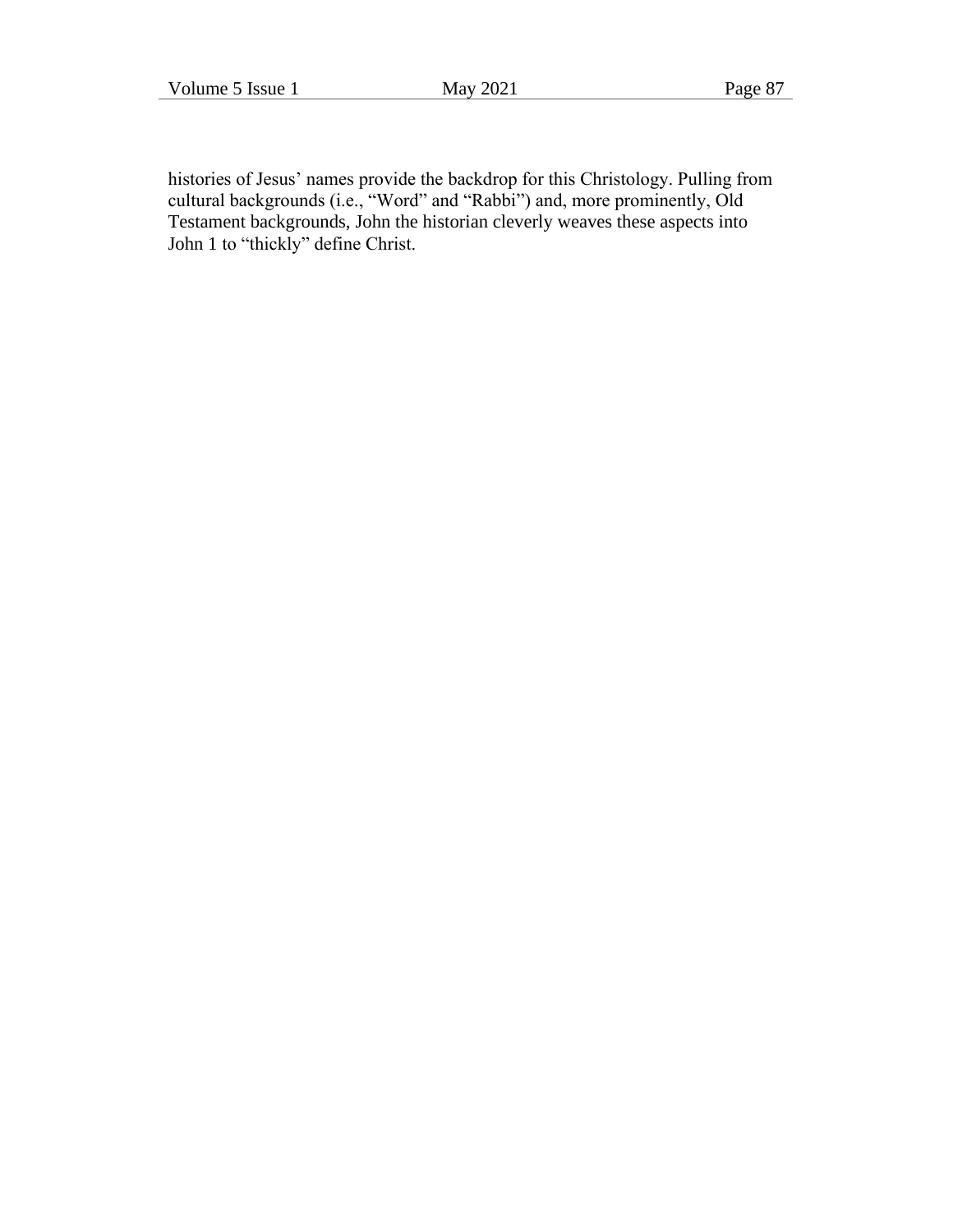histories of Jesus' names provide the backdrop for this Christology. Pulling from cultural backgrounds (i.e., "Word" and "Rabbi") and, more prominently, Old Testament backgrounds, John the historian cleverly weaves these aspects into John 1 to "thickly" define Christ.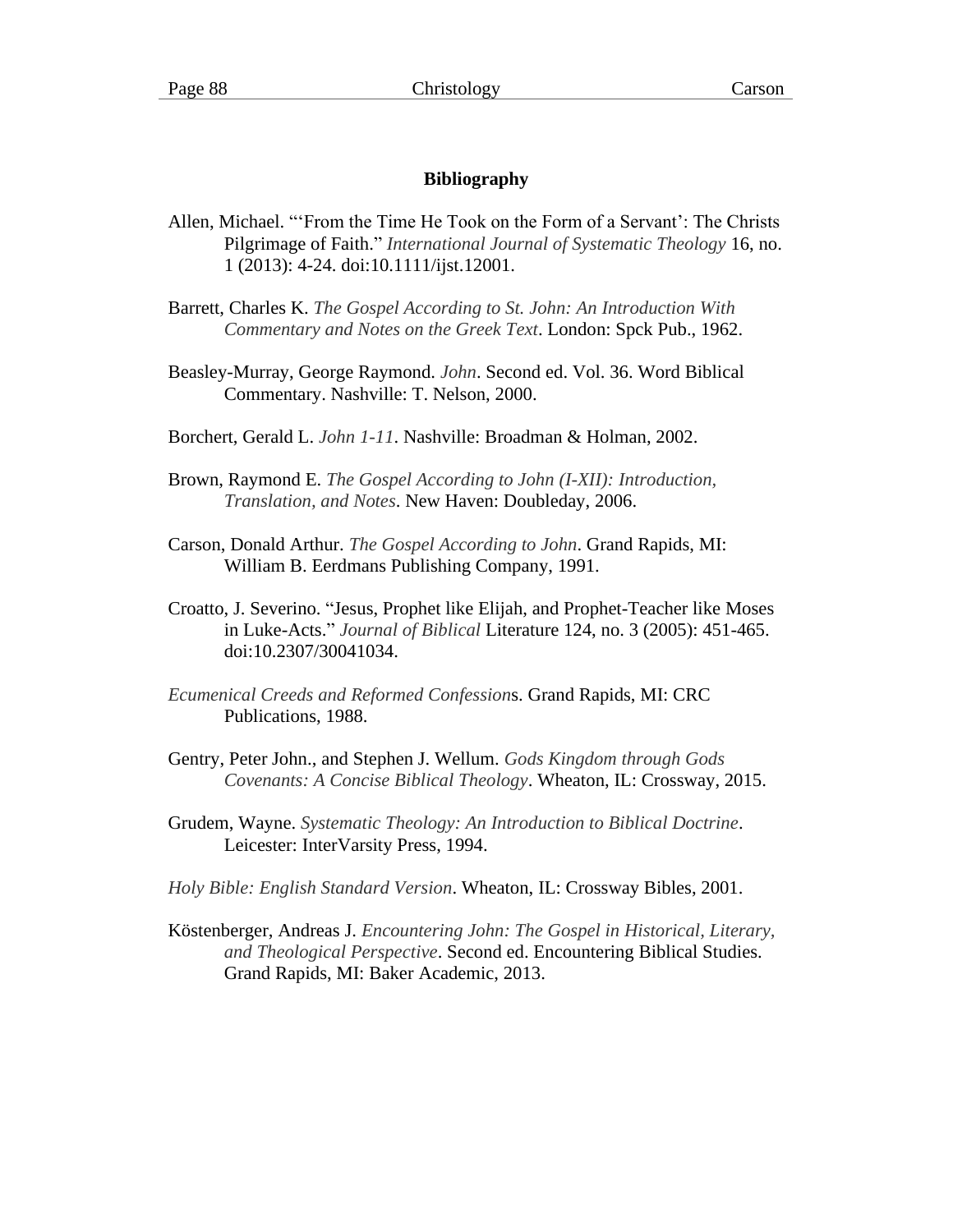# **Bibliography**

- Allen, Michael. "'From the Time He Took on the Form of a Servant': The Christs Pilgrimage of Faith." *International Journal of Systematic Theology* 16, no. 1 (2013): 4-24. doi:10.1111/ijst.12001.
- Barrett, Charles K. *The Gospel According to St. John: An Introduction With Commentary and Notes on the Greek Text*. London: Spck Pub., 1962.
- Beasley-Murray, George Raymond. *John*. Second ed. Vol. 36. Word Biblical Commentary. Nashville: T. Nelson, 2000.
- Borchert, Gerald L. *John 1-11*. Nashville: Broadman & Holman, 2002.
- Brown, Raymond E. *The Gospel According to John (I-XII): Introduction, Translation, and Notes*. New Haven: Doubleday, 2006.
- Carson, Donald Arthur. *The Gospel According to John*. Grand Rapids, MI: William B. Eerdmans Publishing Company, 1991.
- Croatto, J. Severino. "Jesus, Prophet like Elijah, and Prophet-Teacher like Moses in Luke-Acts." *Journal of Biblical* Literature 124, no. 3 (2005): 451-465. doi:10.2307/30041034.
- *Ecumenical Creeds and Reformed Confession*s. Grand Rapids, MI: CRC Publications, 1988.
- Gentry, Peter John., and Stephen J. Wellum. *Gods Kingdom through Gods Covenants: A Concise Biblical Theology*. Wheaton, IL: Crossway, 2015.
- Grudem, Wayne. *Systematic Theology: An Introduction to Biblical Doctrine*. Leicester: InterVarsity Press, 1994.
- *Holy Bible: English Standard Version*. Wheaton, IL: Crossway Bibles, 2001.
- Köstenberger, Andreas J. *Encountering John: The Gospel in Historical, Literary, and Theological Perspective*. Second ed. Encountering Biblical Studies. Grand Rapids, MI: Baker Academic, 2013.